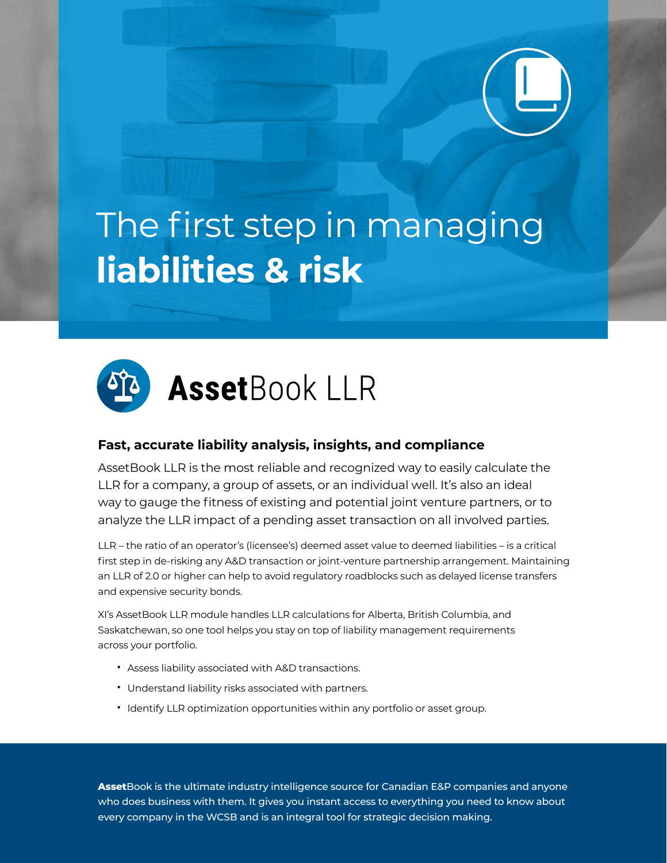# The first step in managing **liabilities & risk**



# **Fast, accurate liability analysis, insights, and compliance**

AssetBook LLR is the most reliable and recognized way to easily calculate the LLR for a company, a group of assets, or an individual well. It's also an ideal way to gauge the fitness of existing and potential joint venture partners, or to analyze the LLR impact of a pending asset transaction on all involved parties.

LLR – the ratio of an operator's (licensee's) deemed asset value to deemed liabilities – is a critical first step in de-risking any A&D transaction or joint-venture partnership arrangement. Maintaining an LLR of 2.0 or higher can help to avoid regulatory roadblocks such as delayed license transfers and expensive security bonds.

XI's AssetBook LLR module handles LLR calculations for Alberta, British Columbia, and Saskatchewan, so one tool helps you stay on top of liability management requirements across your portfolio.

- Assess liability associated with A&D transactions.
- Understand liability risks associated with partners.
- Identify LLR optimization opportunities within any portfolio or asset group.

**Asset**Book is the ultimate industry intelligence source for Canadian E&P companies and anyone who does business with them. It gives you instant access to everything you need to know about every company in the WCSB and is an integral tool for strategic decision making.